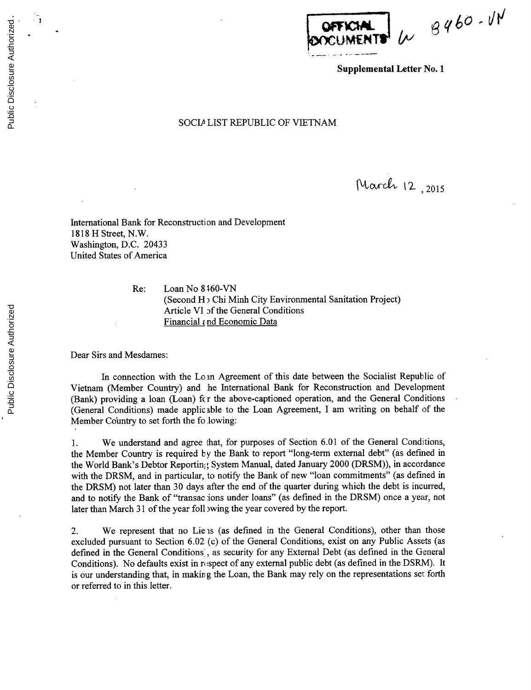$460 - 114$ 

**Supplemental Letter** No. **1**

## **SOCIM LIST** REPUBLIC OF **VIETNAM**

March 12, 2015

International Bank for Reconstruction and Development **1818** H Street, N.W. Washington, **D.C.** 20433 United States of America

> Re: Loan No **8 160-VN** (Second H) Chi Minh City Environmental Sanitation Project) Article VI **of** the General Conditions Financial *e*nd Economic Data

Dear Sirs and Mesdames:

In connection with the Lo n Agreement of this date between the Socialist Republic of Vietnam (Member Country) and he International Bank for Reconstruction and Development (Bank) providing a loan (Loan) fc r the above-captioned operation, and the General Conditions (General Conditions) made applicable to the Loan Agreement, I am writing on behalf of the Member Country to set forth the fo lowing:

1. We understand and agree that, for purposes of Section **6.01** of the General Conditions, the Member Country is required **by** the Bank to report "long-term external debt" (as defined in the World Bank's Debtor Reporting System Manual, dated January 2000 (DRSM)), in accordance with the DRSM, and in particular, to notify the Bank of new "loan commitments" (as defined in the DRSM) not later than **30** days after the end of the quarter during which the debt is incurred, and to notify the Bank of "transac ions under loans" (as defined in the DRSM) once a year, not later than March **31** of the year foll wing the year covered **by** the report.

2. We represent that no Lie is (as defined in the General Conditions), other than those excluded pursuant to Section **6.02** (c) of the General Conditions, exist on any Public Assets (as defined in the General Conditions', as security for any External Debt (as defined in the General Conditions). No defaults exist in respect of any external public debt (as defined in the DSRM). It is our understanding that, in making the Loan, the Bank may rely on the representations set forth or referred to in this letter.